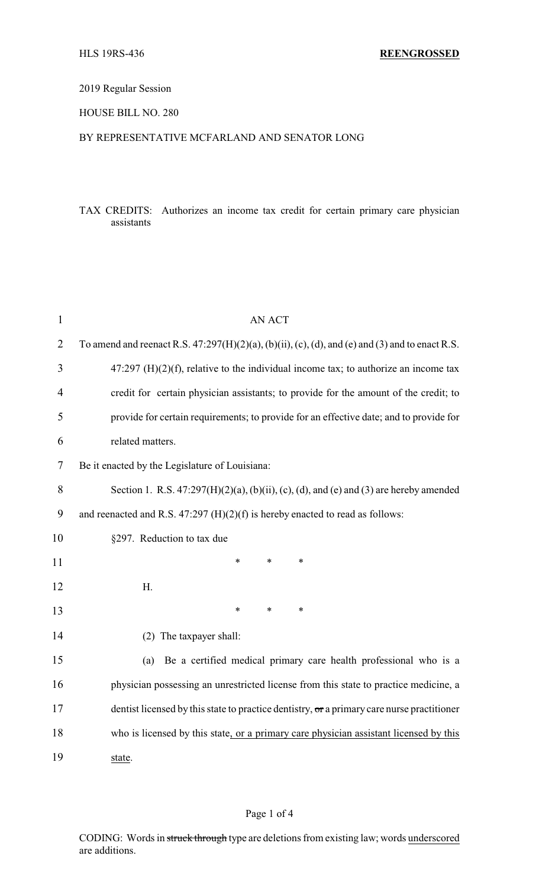# 2019 Regular Session

### HOUSE BILL NO. 280

#### BY REPRESENTATIVE MCFARLAND AND SENATOR LONG

# TAX CREDITS: Authorizes an income tax credit for certain primary care physician assistants

| $\mathbf{1}$   | <b>AN ACT</b>                                                                                                   |  |  |
|----------------|-----------------------------------------------------------------------------------------------------------------|--|--|
| $\overline{2}$ | To amend and reenact R.S. $47:297(H)(2)(a)$ , $(b)(ii)$ , $(c)$ , $(d)$ , and $(e)$ and $(3)$ and to enact R.S. |  |  |
| 3              | $47:297$ (H)(2)(f), relative to the individual income tax; to authorize an income tax                           |  |  |
| 4              | credit for certain physician assistants; to provide for the amount of the credit; to                            |  |  |
| 5              | provide for certain requirements; to provide for an effective date; and to provide for                          |  |  |
| 6              | related matters.                                                                                                |  |  |
| 7              | Be it enacted by the Legislature of Louisiana:                                                                  |  |  |
| 8              | Section 1. R.S. $47:297(H)(2)(a)$ , $(b)(ii)$ , $(c)$ , $(d)$ , and $(e)$ and $(3)$ are hereby amended          |  |  |
| 9              | and reenacted and R.S. $47:297$ (H)(2)(f) is hereby enacted to read as follows:                                 |  |  |
| 10             | §297. Reduction to tax due                                                                                      |  |  |
| 11             | $\ast$<br>$\ast$<br>$\ast$                                                                                      |  |  |
| 12             | Η.                                                                                                              |  |  |
| 13             | $\ast$<br>*<br>$\ast$                                                                                           |  |  |
| 14             | (2) The taxpayer shall:                                                                                         |  |  |
| 15             | Be a certified medical primary care health professional who is a<br>(a)                                         |  |  |
| 16             | physician possessing an unrestricted license from this state to practice medicine, a                            |  |  |
| 17             | dentist licensed by this state to practice dentistry, or a primary care nurse practitioner                      |  |  |
| 18             | who is licensed by this state, or a primary care physician assistant licensed by this                           |  |  |
| 19             | state.                                                                                                          |  |  |

### Page 1 of 4

CODING: Words in struck through type are deletions from existing law; words underscored are additions.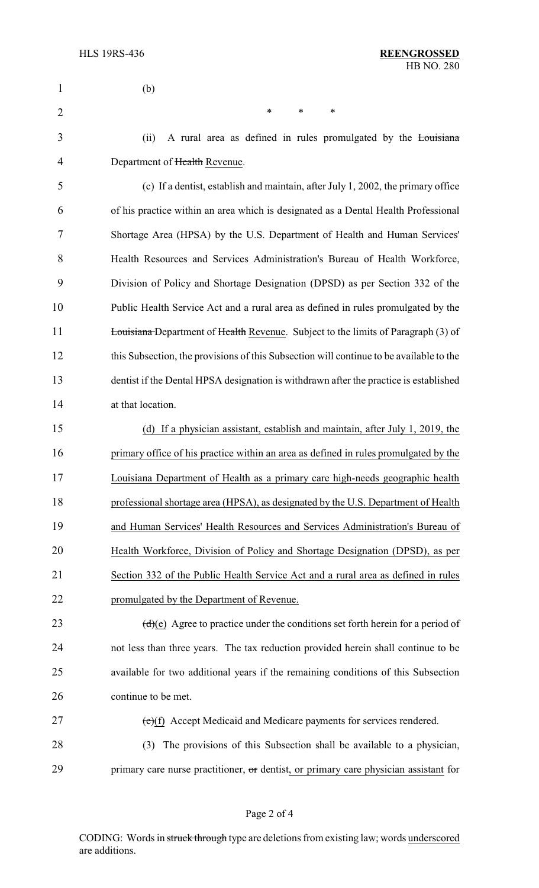| 1              | (b)                                                                                        |
|----------------|--------------------------------------------------------------------------------------------|
| $\overline{2}$ | $\ast$<br>*<br>*                                                                           |
| 3              | A rural area as defined in rules promulgated by the Louisiana<br>(ii)                      |
| 4              | Department of Health Revenue.                                                              |
| 5              | (c) If a dentist, establish and maintain, after July 1, 2002, the primary office           |
| 6              | of his practice within an area which is designated as a Dental Health Professional         |
| 7              | Shortage Area (HPSA) by the U.S. Department of Health and Human Services'                  |
| 8              | Health Resources and Services Administration's Bureau of Health Workforce,                 |
| 9              | Division of Policy and Shortage Designation (DPSD) as per Section 332 of the               |
| 10             | Public Health Service Act and a rural area as defined in rules promulgated by the          |
| 11             | <b>Louisiana</b> Department of Health Revenue. Subject to the limits of Paragraph (3) of   |
| 12             | this Subsection, the provisions of this Subsection will continue to be available to the    |
| 13             | dentist if the Dental HPSA designation is withdrawn after the practice is established      |
| 14             | at that location.                                                                          |
| 15             | (d) If a physician assistant, establish and maintain, after July 1, 2019, the              |
| 16             | primary office of his practice within an area as defined in rules promulgated by the       |
| 17             | Louisiana Department of Health as a primary care high-needs geographic health              |
| 18             | professional shortage area (HPSA), as designated by the U.S. Department of Health          |
| 19             | and Human Services' Health Resources and Services Administration's Bureau of               |
| 20             | Health Workforce, Division of Policy and Shortage Designation (DPSD), as per               |
| 21             | Section 332 of the Public Health Service Act and a rural area as defined in rules          |
| 22             | promulgated by the Department of Revenue.                                                  |
| 23             | $\frac{d}{d}$ (e) Agree to practice under the conditions set forth herein for a period of  |
| 24             | not less than three years. The tax reduction provided herein shall continue to be          |
| 25             | available for two additional years if the remaining conditions of this Subsection          |
| 26             | continue to be met.                                                                        |
| 27             | $(e)(f)$ Accept Medicaid and Medicare payments for services rendered.                      |
| 28             | The provisions of this Subsection shall be available to a physician,<br>(3)                |
| 29             | primary care nurse practitioner, $\sigma$ dentist, or primary care physician assistant for |
|                |                                                                                            |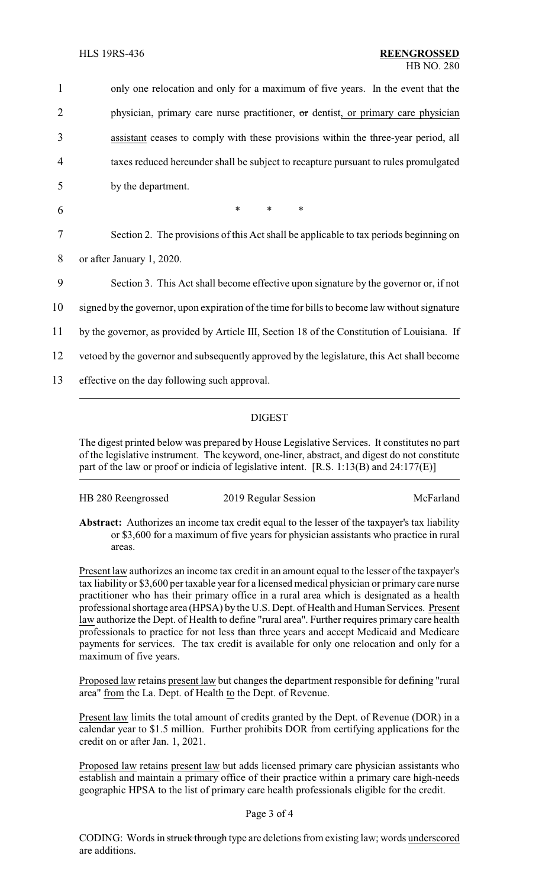| 1  | only one relocation and only for a maximum of five years. In the event that the               |
|----|-----------------------------------------------------------------------------------------------|
| 2  | physician, primary care nurse practitioner, or dentist, or primary care physician             |
| 3  | assistant ceases to comply with these provisions within the three-year period, all            |
| 4  | taxes reduced hereunder shall be subject to recapture pursuant to rules promulgated           |
| 5  | by the department.                                                                            |
| 6  | $\ast$<br>$\ast$<br>$\ast$                                                                    |
| 7  | Section 2. The provisions of this Act shall be applicable to tax periods beginning on         |
| 8  | or after January 1, 2020.                                                                     |
| 9  | Section 3. This Act shall become effective upon signature by the governor or, if not          |
| 10 | signed by the governor, upon expiration of the time for bills to become law without signature |
| 11 | by the governor, as provided by Article III, Section 18 of the Constitution of Louisiana. If  |
| 12 | vetoed by the governor and subsequently approved by the legislature, this Act shall become    |
| 13 | effective on the day following such approval.                                                 |
|    |                                                                                               |

# DIGEST

The digest printed below was prepared by House Legislative Services. It constitutes no part of the legislative instrument. The keyword, one-liner, abstract, and digest do not constitute part of the law or proof or indicia of legislative intent. [R.S. 1:13(B) and 24:177(E)]

| HB 280 Reengrossed |                      |           |
|--------------------|----------------------|-----------|
|                    | 2019 Regular Session | McFarland |
|                    |                      |           |

**Abstract:** Authorizes an income tax credit equal to the lesser of the taxpayer's tax liability or \$3,600 for a maximum of five years for physician assistants who practice in rural areas.

Present law authorizes an income tax credit in an amount equal to the lesser of the taxpayer's tax liability or \$3,600 per taxable year for a licensed medical physician or primary care nurse practitioner who has their primary office in a rural area which is designated as a health professional shortage area (HPSA) by the U.S. Dept. of Health and Human Services. Present law authorize the Dept. of Health to define "rural area". Further requires primary care health professionals to practice for not less than three years and accept Medicaid and Medicare payments for services. The tax credit is available for only one relocation and only for a maximum of five years.

Proposed law retains present law but changes the department responsible for defining "rural area" from the La. Dept. of Health to the Dept. of Revenue.

Present law limits the total amount of credits granted by the Dept. of Revenue (DOR) in a calendar year to \$1.5 million. Further prohibits DOR from certifying applications for the credit on or after Jan. 1, 2021.

Proposed law retains present law but adds licensed primary care physician assistants who establish and maintain a primary office of their practice within a primary care high-needs geographic HPSA to the list of primary care health professionals eligible for the credit.

#### Page 3 of 4

CODING: Words in struck through type are deletions from existing law; words underscored are additions.